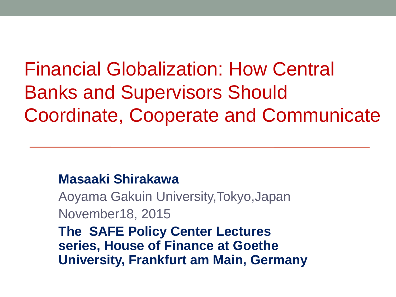Financial Globalization: How Central Banks and Supervisors Should Coordinate, Cooperate and Communicate

#### **Masaaki Shirakawa**

Aoyama Gakuin University,Tokyo,Japan November18, 2015

**The SAFE Policy Center Lectures series, House of Finance at Goethe University, Frankfurt am Main, Germany**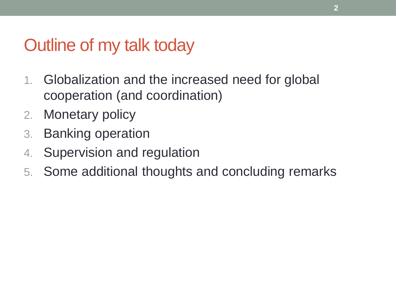## Outline of my talk today

- 1. Globalization and the increased need for global cooperation (and coordination)
- 2. Monetary policy
- 3. Banking operation
- 4. Supervision and regulation
- 5. Some additional thoughts and concluding remarks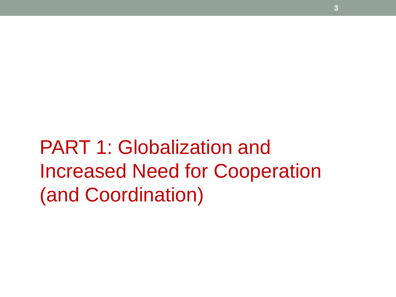PART 1: Globalization and Increased Need for Cooperation (and Coordination)

**3**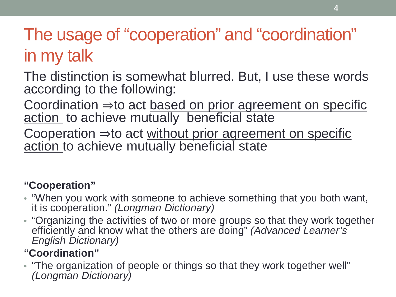# The usage of "cooperation" and "coordination" in my talk

The distinction is somewhat blurred. But, I use these words according to the following:

Coordination ⇒to act based on prior agreement on specific action to achieve mutually beneficial state

Cooperation ⇒to act without prior agreement on specific action to achieve mutually beneficial state

#### **"Cooperation"**

- "When you work with someone to achieve something that you both want, it is cooperation." *(Longman Dictionary)*
- "Organizing the activities of two or more groups so that they work together efficiently and know what the others are doing" *(Advanced Learner's English Dictionary)*

#### **"Coordination"**

• "The organization of people or things so that they work together well" *(Longman Dictionary)*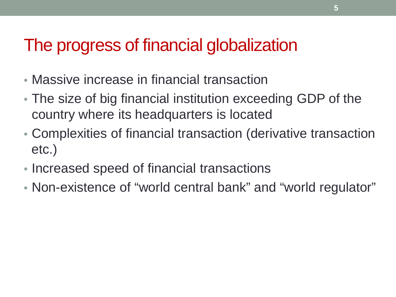### The progress of financial globalization

- Massive increase in financial transaction
- The size of big financial institution exceeding GDP of the country where its headquarters is located
- Complexities of financial transaction (derivative transaction etc.)
- Increased speed of financial transactions
- Non-existence of "world central bank" and "world regulator"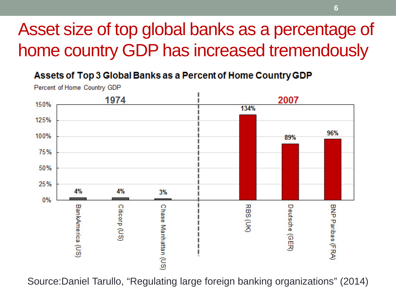# Asset size of top global banks as a percentage of home country GDP has increased tremendously

#### Assets of Top 3 Global Banks as a Percent of Home Country GDP



Percent of Home Country GDP

Source:Daniel Tarullo, "Regulating large foreign banking organizations" (2014)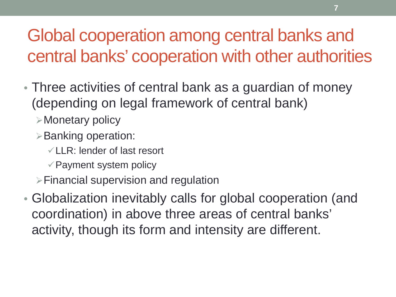# Global cooperation among central banks and central banks' cooperation with other authorities

- Three activities of central bank as a guardian of money (depending on legal framework of central bank)
	- Monetary policy
	- **Banking operation:** 
		- $\nu$  LLR: lender of last resort
		- $\sqrt{P}$ ayment system policy
	- $\triangleright$  Financial supervision and regulation
- Globalization inevitably calls for global cooperation (and coordination) in above three areas of central banks' activity, though its form and intensity are different.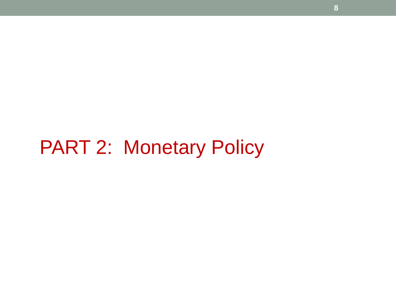# PART 2: Monetary Policy

**8**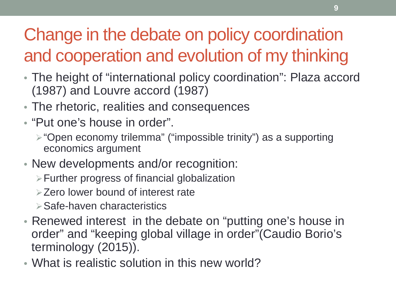# Change in the debate on policy coordination and cooperation and evolution of my thinking

- The height of "international policy coordination": Plaza accord (1987) and Louvre accord (1987)
- The rhetoric, realities and consequences
- "Put one's house in order".
	- $\triangleright$  "Open economy trilemma" ("impossible trinity") as a supporting economics argument
- New developments and/or recognition:
	- $\triangleright$  Further progress of financial globalization
	- $\ge$  Zero lower bound of interest rate
	- **▶ Safe-haven characteristics**
- Renewed interest in the debate on "putting one's house in order" and "keeping global village in order"(Caudio Borio's terminology (2015)).
- What is realistic solution in this new world?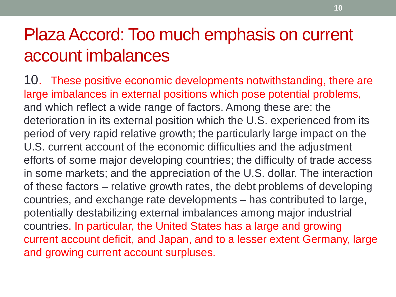# Plaza Accord: Too much emphasis on current account imbalances

10. These positive economic developments notwithstanding, there are large imbalances in external positions which pose potential problems, and which reflect a wide range of factors. Among these are: the deterioration in its external position which the U.S. experienced from its period of very rapid relative growth; the particularly large impact on the U.S. current account of the economic difficulties and the adjustment efforts of some major developing countries; the difficulty of trade access in some markets; and the appreciation of the U.S. dollar. The interaction of these factors – relative growth rates, the debt problems of developing countries, and exchange rate developments – has contributed to large, potentially destabilizing external imbalances among major industrial countries. In particular, the United States has a large and growing current account deficit, and Japan, and to a lesser extent Germany, large and growing current account surpluses.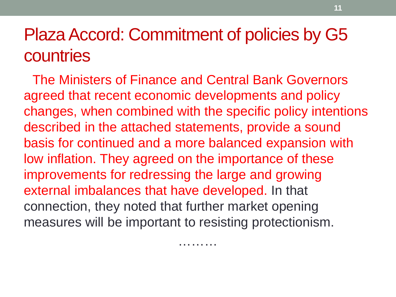# Plaza Accord: Commitment of policies by G5 countries

The Ministers of Finance and Central Bank Governors agreed that recent economic developments and policy changes, when combined with the specific policy intentions described in the attached statements, provide a sound basis for continued and a more balanced expansion with low inflation. They agreed on the importance of these improvements for redressing the large and growing external imbalances that have developed. In that connection, they noted that further market opening measures will be important to resisting protectionism.

………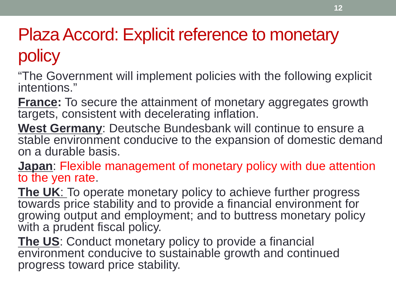# Plaza Accord: Explicit reference to monetary policy

"The Government will implement policies with the following explicit intentions."

**France:** To secure the attainment of monetary aggregates growth targets, consistent with decelerating inflation.

**West Germany**: Deutsche Bundesbank will continue to ensure a stable environment conducive to the expansion of domestic demand on a durable basis.

**Japan**: Flexible management of monetary policy with due attention to the yen rate.

**The UK**: To operate monetary policy to achieve further progress towards price stability and to provide a financial environment for growing output and employment; and to buttress monetary policy with a prudent fiscal policy.

**The US**: Conduct monetary policy to provide a financial environment conducive to sustainable growth and continued progress toward price stability.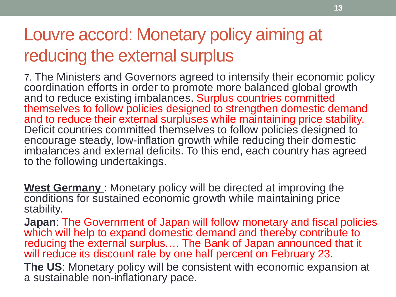# Louvre accord: Monetary policy aiming at reducing the external surplus

7. The Ministers and Governors agreed to intensify their economic policy coordination efforts in order to promote more balanced global growth and to reduce existing imbalances. Surplus countries committed themselves to follow policies designed to strengthen domestic demand and to reduce their external surpluses while maintaining price stability. Deficit countries committed themselves to follow policies designed to encourage steady, low-inflation growth while reducing their domestic imbalances and external deficits. To this end, each country has agreed to the following undertakings.

**West Germany** : Monetary policy will be directed at improving the conditions for sustained economic growth while maintaining price stability.

**Japan**: The Government of Japan will follow monetary and fiscal policies which will help to expand domestic demand and thereby contribute to reducing the external surplus.... The Bank of Japan announced that it will reduce its discount rate by one half percent on February 23.

**The US**: Monetary policy will be consistent with economic expansion at a sustainable non-inflationary pace.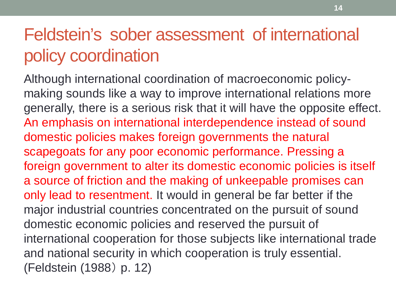# Feldstein's sober assessment of international policy coordination

Although international coordination of macroeconomic policymaking sounds like a way to improve international relations more generally, there is a serious risk that it will have the opposite effect. An emphasis on international interdependence instead of sound domestic policies makes foreign governments the natural scapegoats for any poor economic performance. Pressing a foreign government to alter its domestic economic policies is itself a source of friction and the making of unkeepable promises can only lead to resentment. It would in general be far better if the major industrial countries concentrated on the pursuit of sound domestic economic policies and reserved the pursuit of international cooperation for those subjects like international trade and national security in which cooperation is truly essential. (Feldstein (1988) p. 12)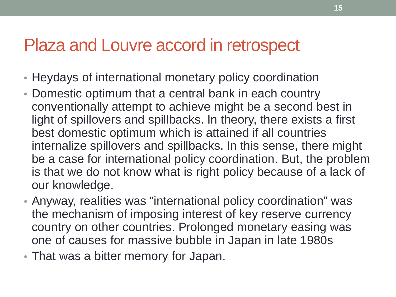#### Plaza and Louvre accord in retrospect

- Heydays of international monetary policy coordination
- Domestic optimum that a central bank in each country conventionally attempt to achieve might be a second best in light of spillovers and spillbacks. In theory, there exists a first best domestic optimum which is attained if all countries internalize spillovers and spillbacks. In this sense, there might be a case for international policy coordination. But, the problem is that we do not know what is right policy because of a lack of our knowledge.
- Anyway, realities was "international policy coordination" was the mechanism of imposing interest of key reserve currency country on other countries. Prolonged monetary easing was one of causes for massive bubble in Japan in late 1980s
- That was a bitter memory for Japan.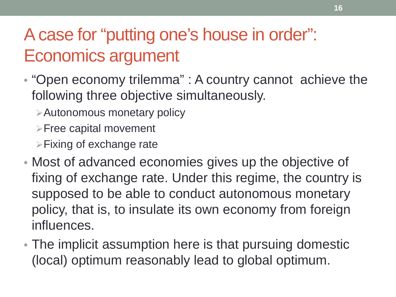# A case for "putting one's house in order": Economics argument

- "Open economy trilemma" : A country cannot achieve the following three objective simultaneously.
	- Autonomous monetary policy
	- **>Free capital movement**
	- $\triangleright$  Fixing of exchange rate
- Most of advanced economies gives up the objective of fixing of exchange rate. Under this regime, the country is supposed to be able to conduct autonomous monetary policy, that is, to insulate its own economy from foreign influences.
- The implicit assumption here is that pursuing domestic (local) optimum reasonably lead to global optimum.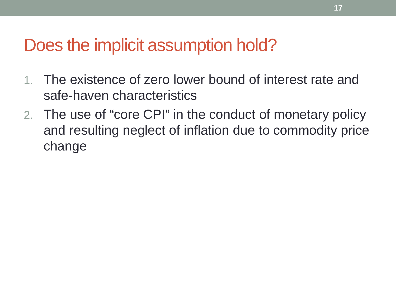### Does the implicit assumption hold?

- 1. The existence of zero lower bound of interest rate and safe-haven characteristics
- 2. The use of "core CPI" in the conduct of monetary policy and resulting neglect of inflation due to commodity price change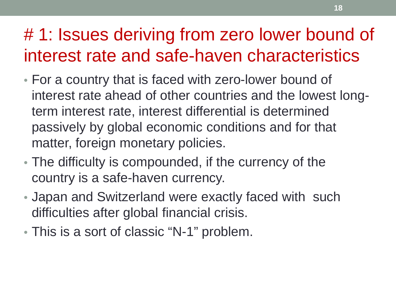# # 1: Issues deriving from zero lower bound of interest rate and safe-haven characteristics

- For a country that is faced with zero-lower bound of interest rate ahead of other countries and the lowest longterm interest rate, interest differential is determined passively by global economic conditions and for that matter, foreign monetary policies.
- The difficulty is compounded, if the currency of the country is a safe-haven currency.
- Japan and Switzerland were exactly faced with such difficulties after global financial crisis.
- This is a sort of classic "N-1" problem.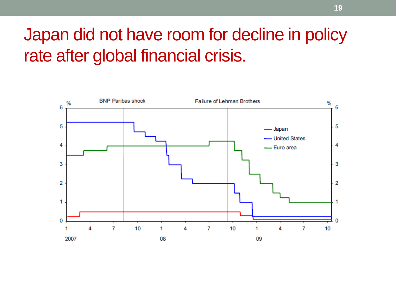# Japan did not have room for decline in policy rate after global financial crisis.

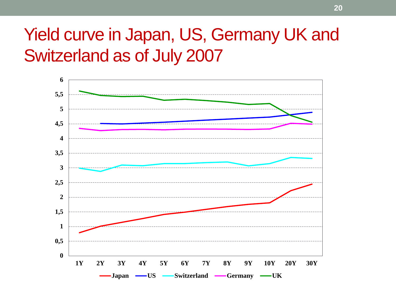# Yield curve in Japan, US, Germany UK and Switzerland as of July 2007

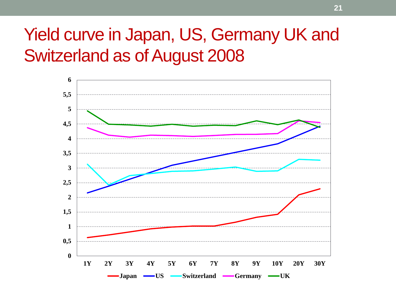# Yield curve in Japan, US, Germany UK and Switzerland as of August 2008

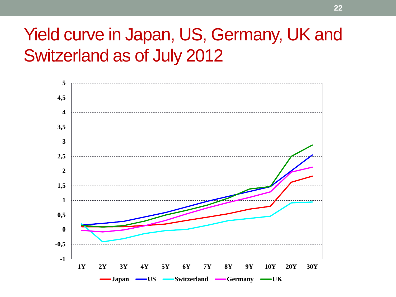# Yield curve in Japan, US, Germany, UK and Switzerland as of July 2012

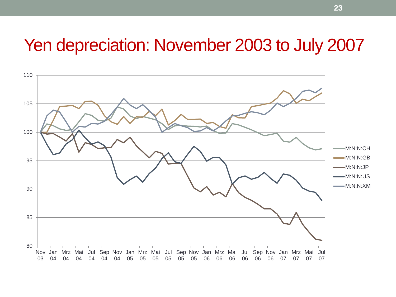#### Yen depreciation: November 2003 to July 2007

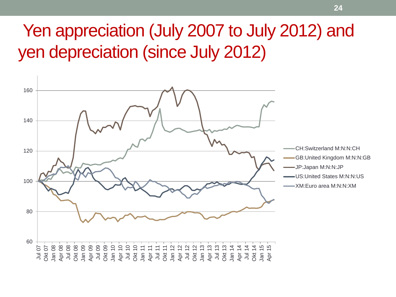# Yen appreciation (July 2007 to July 2012) and yen depreciation (since July 2012)

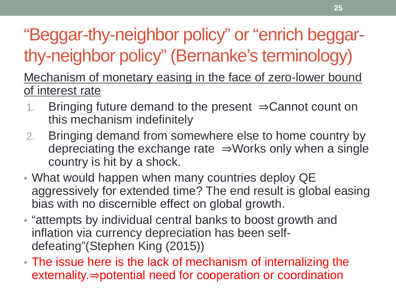# "Beggar-thy-neighbor policy" or "enrich beggarthy-neighbor policy" (Bernanke's terminology)

Mechanism of monetary easing in the face of zero-lower bound of interest rate

- 1. Bringing future demand to the present ⇒Cannot count on this mechanism indefinitely
- 2. Bringing demand from somewhere else to home country by depreciating the exchange rate ⇒Works only when a single country is hit by a shock.
- What would happen when many countries deploy QE aggressively for extended time? The end result is global easing bias with no discernible effect on global growth.
- "attempts by individual central banks to boost growth and inflation via currency depreciation has been selfdefeating"(Stephen King (2015))
- The issue here is the lack of mechanism of internalizing the externality.⇒potential need for cooperation or coordination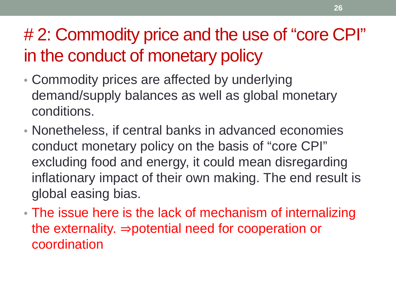# # 2: Commodity price and the use of "core CPI" in the conduct of monetary policy

- Commodity prices are affected by underlying demand/supply balances as well as global monetary conditions.
- Nonetheless, if central banks in advanced economies conduct monetary policy on the basis of "core CPI" excluding food and energy, it could mean disregarding inflationary impact of their own making. The end result is global easing bias.
- The issue here is the lack of mechanism of internalizing the externality. ⇒potential need for cooperation or coordination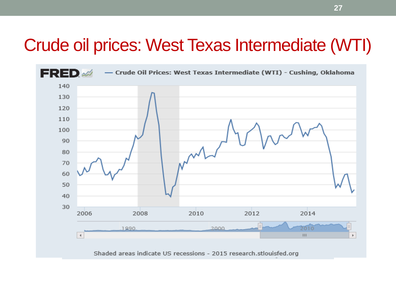### Crude oil prices: West Texas Intermediate (WTI)

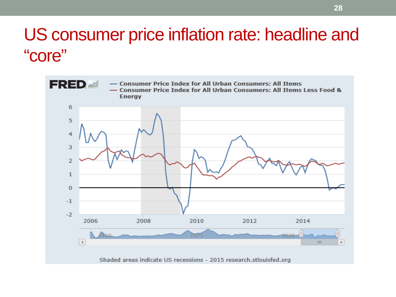# US consumer price inflation rate: headline and "core"

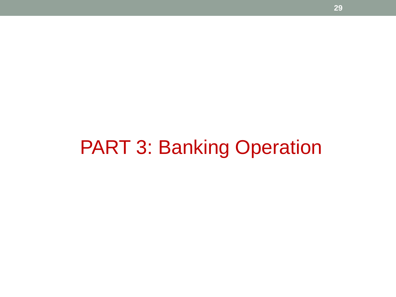# PART 3: Banking Operation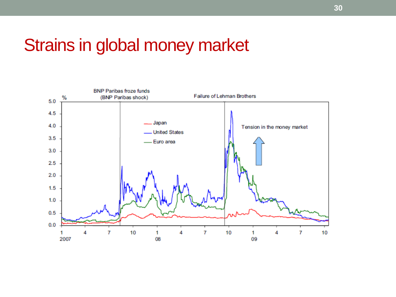#### Strains in global money market

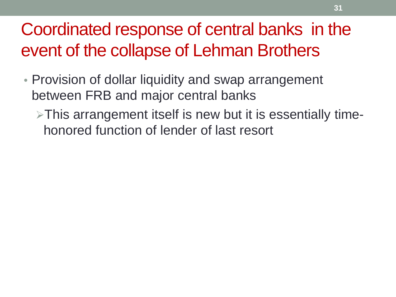# Coordinated response of central banks in the event of the collapse of Lehman Brothers

- Provision of dollar liquidity and swap arrangement between FRB and major central banks
	- This arrangement itself is new but it is essentially timehonored function of lender of last resort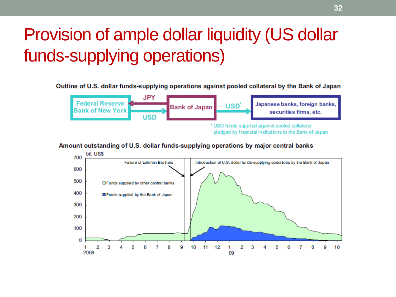# Provision of ample dollar liquidity (US dollar funds-supplying operations)

Outline of U.S. dollar funds-supplying operations against pooled collateral by the Bank of Japan



#### Amount outstanding of U.S. dollar funds-supplying operations by major central banks

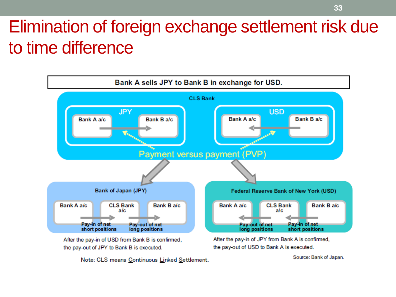# Elimination of foreign exchange settlement risk due to time difference



Note: CLS means Continuous Linked Settlement.

Source: Bank of Japan.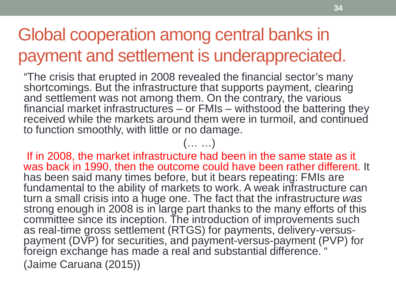# Global cooperation among central banks in payment and settlement is underappreciated.

"The crisis that erupted in 2008 revealed the financial sector's many shortcomings. But the infrastructure that supports payment, clearing and settlement was not among them. On the contrary, the various financial market infrastructures – or FMIs – withstood the battering they received while the markets around them were in turmoil, and continued to function smoothly, with little or no damage.

 $(\ldots \ldots)$ 

If in 2008, the market infrastructure had been in the same state as it was back in 1990, then the outcome could have been rather different. It has been said many times before, but it bears repeating: FMIs are fundamental to the ability of markets to work. A weak infrastructure can turn a small crisis into a huge one. The fact that the infrastructure *was*  strong enough in 2008 is in large part thanks to the many efforts of this committee since its inception. The introduction of improvements such as real-time gross settlement (RTGS) for payments, delivery-versus-<br>payment (DVP) for securities, and payment-versus-payment (PVP) for foreign exchange has made a real and substantial difference. " (Jaime Caruana (2015))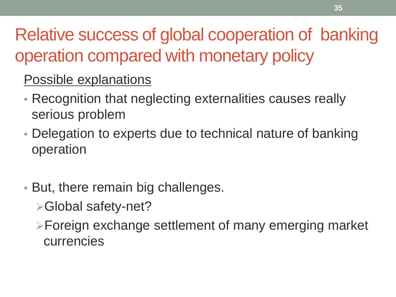# Relative success of global cooperation of banking operation compared with monetary policy

#### Possible explanations

- Recognition that neglecting externalities causes really serious problem
- Delegation to experts due to technical nature of banking operation
- But, there remain big challenges.
	- **≻Global safety-net?**
	- Foreign exchange settlement of many emerging market currencies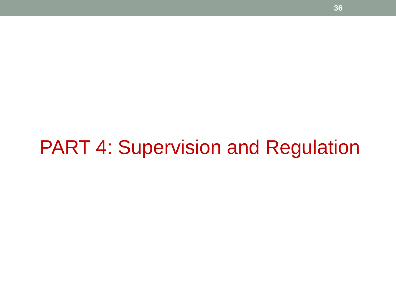# PART 4: Supervision and Regulation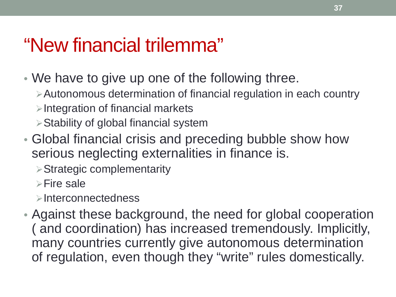# "New financial trilemma"

• We have to give up one of the following three.

- Autonomous determination of financial regulation in each country
- $\triangleright$  Integration of financial markets
- Stability of global financial system
- Global financial crisis and preceding bubble show how serious neglecting externalities in finance is.
	- $\triangleright$  Strategic complementarity
	- $\triangleright$  Fire sale
	- $\triangleright$  Interconnectedness
- Against these background, the need for global cooperation ( and coordination) has increased tremendously. Implicitly, many countries currently give autonomous determination of regulation, even though they "write" rules domestically.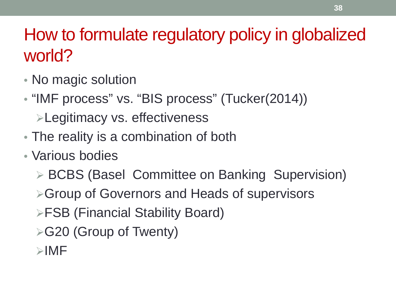# How to formulate regulatory policy in globalized world?

- No magic solution
- "IMF process" vs. "BIS process" (Tucker(2014))
	- **>Legitimacy vs. effectiveness**
- The reality is a combination of both
- Various bodies
	- ▶ BCBS (Basel Committee on Banking Supervision)
	- **≻Group of Governors and Heads of supervisors**
	- FSB (Financial Stability Board)
	- **≻G20 (Group of Twenty)**
	- $>$ IMF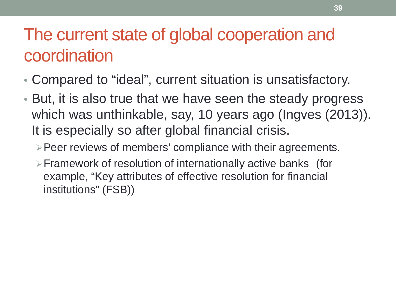# The current state of global cooperation and coordination

- Compared to "ideal", current situation is unsatisfactory.
- But, it is also true that we have seen the steady progress which was unthinkable, say, 10 years ago (Ingves (2013)). It is especially so after global financial crisis.
	- > Peer reviews of members' compliance with their agreements.
	- Framework of resolution of internationally active banks (for example, "Key attributes of effective resolution for financial institutions" (FSB))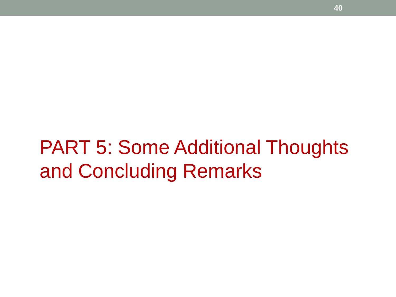# PART 5: Some Additional Thoughts and Concluding Remarks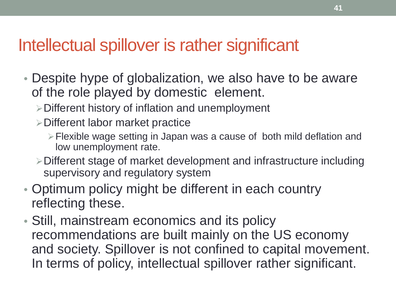### Intellectual spillover is rather significant

- Despite hype of globalization, we also have to be aware of the role played by domestic element.
	- $\triangleright$  Different history of inflation and unemployment
	- Different labor market practice
		- Flexible wage setting in Japan was a cause of both mild deflation and low unemployment rate.
	- Different stage of market development and infrastructure including supervisory and regulatory system
- Optimum policy might be different in each country reflecting these.
- Still, mainstream economics and its policy recommendations are built mainly on the US economy and society. Spillover is not confined to capital movement. In terms of policy, intellectual spillover rather significant.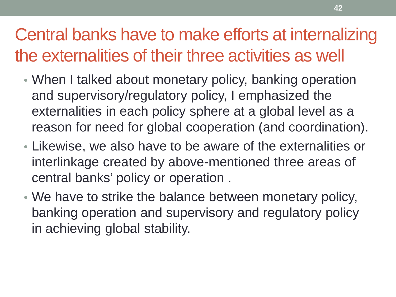# Central banks have to make efforts at internalizing the externalities of their three activities as well

- When I talked about monetary policy, banking operation and supervisory/regulatory policy, I emphasized the externalities in each policy sphere at a global level as a reason for need for global cooperation (and coordination).
- Likewise, we also have to be aware of the externalities or interlinkage created by above-mentioned three areas of central banks' policy or operation .
- We have to strike the balance between monetary policy, banking operation and supervisory and regulatory policy in achieving global stability.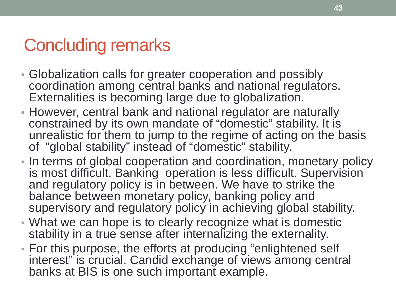# Concluding remarks

- Globalization calls for greater cooperation and possibly coordination among central banks and national regulators. Externalities is becoming large due to globalization.
- However, central bank and national regulator are naturally constrained by its own mandate of "domestic" stability. It is unrealistic for them to jump to the regime of acting on the basis of "global stability" instead of "domestic" stability.
- In terms of global cooperation and coordination, monetary policy is most difficult. Banking operation is less difficult. Supervision and regulatory policy is in between. We have to strike the balance between monetary policy, banking policy and supervisory and regulatory policy in achieving global stability.
- What we can hope is to clearly recognize what is domestic stability in a true sense after internalizing the externality.
- For this purpose, the efforts at producing "enlightened self interest" is crucial. Candid exchange of views among central banks at BIS is one such important example.